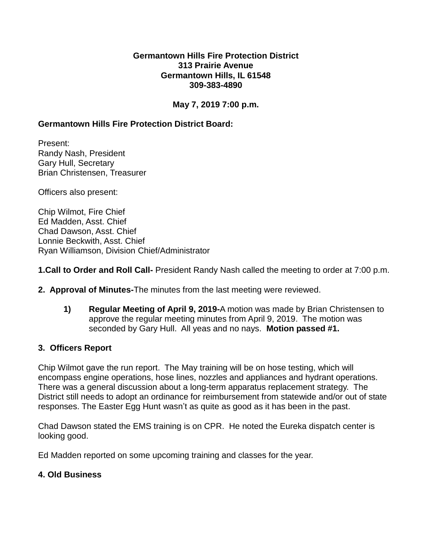#### **Germantown Hills Fire Protection District 313 Prairie Avenue Germantown Hills, IL 61548 309-383-4890**

# **May 7, 2019 7:00 p.m.**

# **Germantown Hills Fire Protection District Board:**

Present: Randy Nash, President Gary Hull, Secretary Brian Christensen, Treasurer

Officers also present:

Chip Wilmot, Fire Chief Ed Madden, Asst. Chief Chad Dawson, Asst. Chief Lonnie Beckwith, Asst. Chief Ryan Williamson, Division Chief/Administrator

## **1.Call to Order and Roll Call-** President Randy Nash called the meeting to order at 7:00 p.m.

- **2. Approval of Minutes-**The minutes from the last meeting were reviewed.
	- **1) Regular Meeting of April 9, 2019-**A motion was made by Brian Christensen to approve the regular meeting minutes from April 9, 2019. The motion was seconded by Gary Hull. All yeas and no nays. **Motion passed #1.**

#### **3. Officers Report**

Chip Wilmot gave the run report. The May training will be on hose testing, which will encompass engine operations, hose lines, nozzles and appliances and hydrant operations. There was a general discussion about a long-term apparatus replacement strategy. The District still needs to adopt an ordinance for reimbursement from statewide and/or out of state responses. The Easter Egg Hunt wasn't as quite as good as it has been in the past.

Chad Dawson stated the EMS training is on CPR. He noted the Eureka dispatch center is looking good.

Ed Madden reported on some upcoming training and classes for the year.

## **4. Old Business**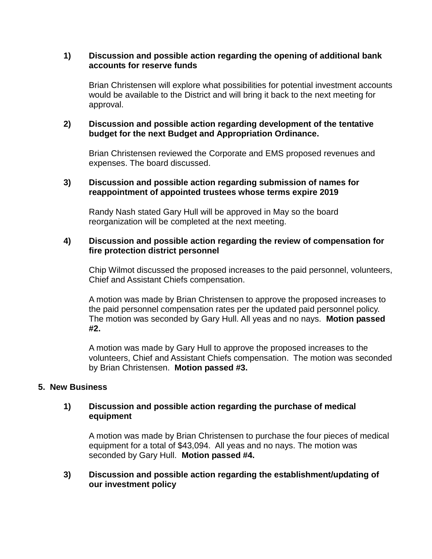### **1) Discussion and possible action regarding the opening of additional bank accounts for reserve funds**

Brian Christensen will explore what possibilities for potential investment accounts would be available to the District and will bring it back to the next meeting for approval.

## **2) Discussion and possible action regarding development of the tentative budget for the next Budget and Appropriation Ordinance.**

Brian Christensen reviewed the Corporate and EMS proposed revenues and expenses. The board discussed.

## **3) Discussion and possible action regarding submission of names for reappointment of appointed trustees whose terms expire 2019**

Randy Nash stated Gary Hull will be approved in May so the board reorganization will be completed at the next meeting.

## **4) Discussion and possible action regarding the review of compensation for fire protection district personnel**

Chip Wilmot discussed the proposed increases to the paid personnel, volunteers, Chief and Assistant Chiefs compensation.

A motion was made by Brian Christensen to approve the proposed increases to the paid personnel compensation rates per the updated paid personnel policy. The motion was seconded by Gary Hull. All yeas and no nays. **Motion passed #2.**

A motion was made by Gary Hull to approve the proposed increases to the volunteers, Chief and Assistant Chiefs compensation. The motion was seconded by Brian Christensen. **Motion passed #3.**

## **5. New Business**

## **1) Discussion and possible action regarding the purchase of medical equipment**

A motion was made by Brian Christensen to purchase the four pieces of medical equipment for a total of \$43,094. All yeas and no nays. The motion was seconded by Gary Hull. **Motion passed #4.**

## **3) Discussion and possible action regarding the establishment/updating of our investment policy**